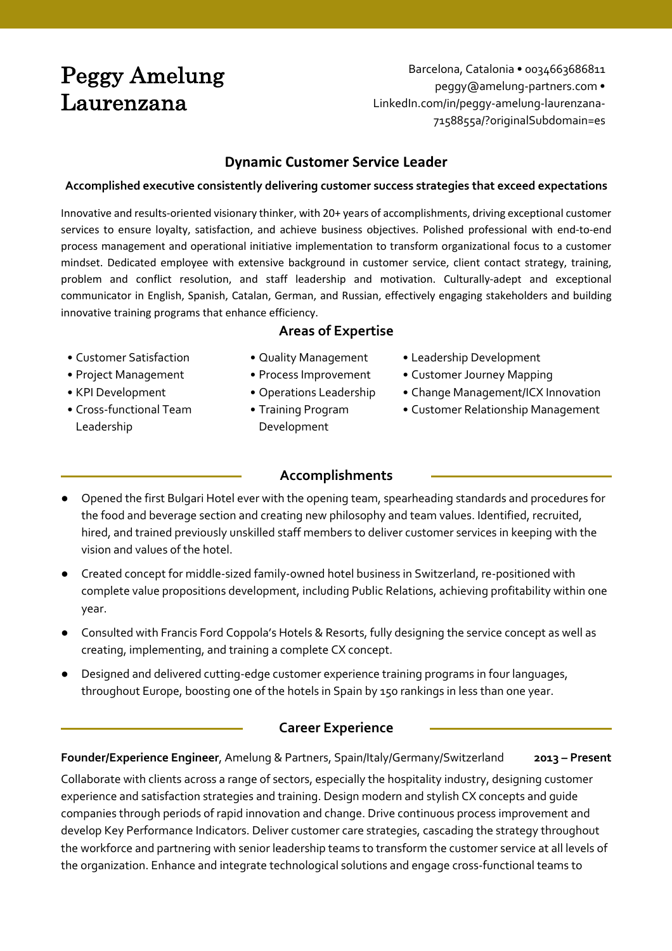# Peggy Amelung Laurenzana

Barcelona, Catalonia • 0034663686811 peggy@amelung-partners.com • LinkedIn.com/in/peggy-amelung-laurenzana-7158855a/?originalSubdomain=es

# **Dynamic Customer Service Leader**

#### **Accomplished executive consistently delivering customer success strategies that exceed expectations**

Innovative and results-oriented visionary thinker, with 20+ years of accomplishments, driving exceptional customer services to ensure loyalty, satisfaction, and achieve business objectives. Polished professional with end-to-end process management and operational initiative implementation to transform organizational focus to a customer mindset. Dedicated employee with extensive background in customer service, client contact strategy, training, problem and conflict resolution, and staff leadership and motivation. Culturally-adept and exceptional communicator in English, Spanish, Catalan, German, and Russian, effectively engaging stakeholders and building innovative training programs that enhance efficiency.

# **Areas of Expertise**

- 
- 
- 
- Cross-functional Team Leadership
- 
- 
- 
- Training Program Development
- Customer Satisfaction Quality Management Leadership Development
- Project Management Process Improvement Customer Journey Mapping
- KPI Development Operations Leadership Change Management/ICX Innovation
	- Customer Relationship Management
	- **Accomplishments**
- Opened the first Bulgari Hotel ever with the opening team, spearheading standards and procedures for the food and beverage section and creating new philosophy and team values. Identified, recruited, hired, and trained previously unskilled staff members to deliver customer services in keeping with the vision and values of the hotel.
- Created concept for middle-sized family-owned hotel business in Switzerland, re-positioned with complete value propositions development, including Public Relations, achieving profitability within one year.
- Consulted with Francis Ford Coppola's Hotels & Resorts, fully designing the service concept as well as creating, implementing, and training a complete CX concept.
- Designed and delivered cutting-edge customer experience training programs in four languages, throughout Europe, boosting one of the hotels in Spain by 150 rankings in less than one year.

# **Career Experience**

# **Founder/Experience Engineer**, Amelung & Partners, Spain/Italy/Germany/Switzerland **2013 – Present**

Collaborate with clients across a range of sectors, especially the hospitality industry, designing customer experience and satisfaction strategies and training. Design modern and stylish CX concepts and guide companies through periods of rapid innovation and change. Drive continuous process improvement and develop Key Performance Indicators. Deliver customer care strategies, cascading the strategy throughout the workforce and partnering with senior leadership teams to transform the customer service at all levels of the organization. Enhance and integrate technological solutions and engage cross-functional teams to